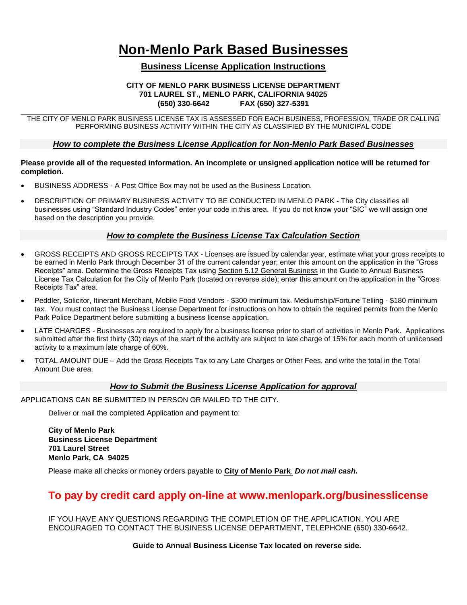# **Non-Menlo Park Based Businesses**

## **Business License Application Instructions**

### **CITY OF MENLO PARK BUSINESS LICENSE DEPARTMENT 701 LAUREL ST., MENLO PARK, CALIFORNIA 94025 (650) 330-6642 FAX (650) 327-5391**

\_\_\_\_\_\_\_\_\_\_\_\_\_\_\_\_\_\_\_\_\_\_\_\_\_\_\_\_\_\_\_\_\_\_\_\_\_\_\_\_\_\_\_\_\_\_\_\_\_\_\_\_\_\_\_\_\_\_\_\_\_\_\_\_\_\_\_\_\_\_\_\_\_\_\_\_\_\_\_\_\_\_\_\_\_\_\_\_\_\_\_\_\_\_\_\_\_\_\_\_\_\_\_\_\_\_\_\_\_\_\_\_\_\_\_\_\_\_\_\_\_\_\_\_\_\_\_\_\_\_\_ THE CITY OF MENLO PARK BUSINESS LICENSE TAX IS ASSESSED FOR EACH BUSINESS, PROFESSION, TRADE OR CALLING PERFORMING BUSINESS ACTIVITY WITHIN THE CITY AS CLASSIFIED BY THE MUNICIPAL CODE

## *How to complete the Business License Application for Non-Menlo Park Based Businesses*

#### **Please provide all of the requested information. An incomplete or unsigned application notice will be returned for completion.**

- BUSINESS ADDRESS A Post Office Box may not be used as the Business Location.
- DESCRIPTION OF PRIMARY BUSINESS ACTIVITY TO BE CONDUCTED IN MENLO PARK The City classifies all businesses using "Standard Industry Codes" enter your code in this area. If you do not know your "SIC" we will assign one based on the description you provide.

## *How to complete the Business License Tax Calculation Section*

- GROSS RECEIPTS AND GROSS RECEIPTS TAX Licenses are issued by calendar year, estimate what your gross receipts to be earned in Menlo Park through December 31 of the current calendar year; enter this amount on the application in the "Gross Receipts" area. Determine the Gross Receipts Tax using Section 5.12 General Business in the Guide to Annual Business License Tax Calculation for the City of Menlo Park (located on reverse side); enter this amount on the application in the "Gross Receipts Tax" area.
- Peddler, Solicitor, Itinerant Merchant, Mobile Food Vendors \$300 minimum tax. Mediumship/Fortune Telling \$180 minimum tax. You must contact the Business License Department for instructions on how to obtain the required permits from the Menlo Park Police Department before submitting a business license application.
- LATE CHARGES Businesses are required to apply for a business license prior to start of activities in Menlo Park. Applications submitted after the first thirty (30) days of the start of the activity are subject to late charge of 15% for each month of unlicensed activity to a maximum late charge of 60%.
- TOTAL AMOUNT DUE Add the Gross Receipts Tax to any Late Charges or Other Fees, and write the total in the Total Amount Due area.

## *How to Submit the Business License Application for approval*

APPLICATIONS CAN BE SUBMITTED IN PERSON OR MAILED TO THE CITY.

Deliver or mail the completed Application and payment to:

**City of Menlo Park Business License Department 701 Laurel Street Menlo Park, CA 94025**

Please make all checks or money orders payable to **City of Menlo Park**. *Do not mail cash.*

## **To pay by credit card apply on-line at www.menlopark.org/businesslicense**

IF YOU HAVE ANY QUESTIONS REGARDING THE COMPLETION OF THE APPLICATION, YOU ARE ENCOURAGED TO CONTACT THE BUSINESS LICENSE DEPARTMENT, TELEPHONE (650) 330-6642.

**Guide to Annual Business License Tax located on reverse side.**